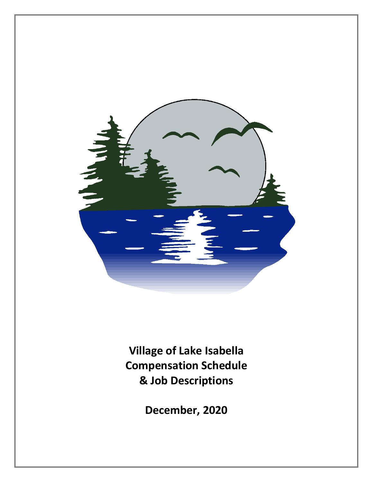

**Village of Lake Isabella Compensation Schedule & Job Descriptions**

**December, 2020**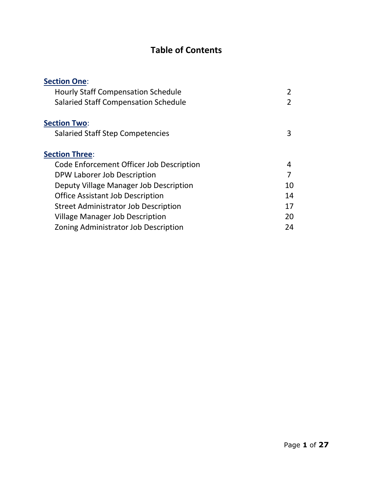# **Table of Contents**

| <b>Section One:</b>                         |    |
|---------------------------------------------|----|
| <b>Hourly Staff Compensation Schedule</b>   | 2  |
| <b>Salaried Staff Compensation Schedule</b> | 2  |
| <b>Section Two:</b>                         |    |
| <b>Salaried Staff Step Competencies</b>     | 3  |
| <b>Section Three:</b>                       |    |
| Code Enforcement Officer Job Description    | 4  |
| DPW Laborer Job Description                 | 7  |
| Deputy Village Manager Job Description      | 10 |
| <b>Office Assistant Job Description</b>     | 14 |
| Street Administrator Job Description        | 17 |
| <b>Village Manager Job Description</b>      | 20 |
| Zoning Administrator Job Description        | 24 |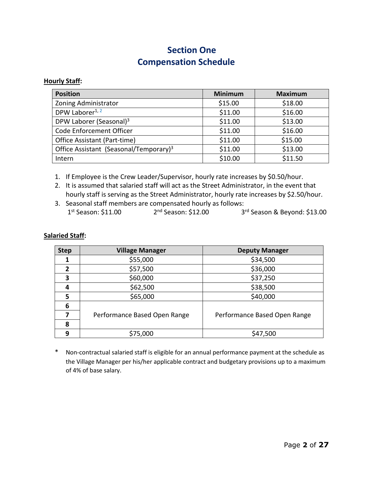## **Section One Compensation Schedule**

#### **Hourly Staff:**

| <b>Position</b>                                    | <b>Minimum</b> | <b>Maximum</b> |
|----------------------------------------------------|----------------|----------------|
| Zoning Administrator                               | \$15.00        | \$18.00        |
| DPW Laborer <sup>1, 2</sup>                        | \$11.00        | \$16.00        |
| DPW Laborer (Seasonal) <sup>3</sup>                | \$11.00        | \$13.00        |
| Code Enforcement Officer                           | \$11.00        | \$16.00        |
| Office Assistant (Part-time)                       | \$11.00        | \$15.00        |
| Office Assistant (Seasonal/Temporary) <sup>3</sup> | \$11.00        | \$13.00        |
| Intern                                             | \$10.00        | \$11.50        |

1. If Employee is the Crew Leader/Supervisor, hourly rate increases by \$0.50/hour.

- 2. It is assumed that salaried staff will act as the Street Administrator, in the event that hourly staff is serving as the Street Administrator, hourly rate increases by \$2.50/hour.
- 3. Seasonal staff members are compensated hourly as follows: 1<sup>st</sup> Season: \$11.00 2<sup>nd</sup> Season: \$12.00 3<sup>rd</sup> Season & Beyond: \$13.00

#### **Salaried Staff:**

| <b>Step</b>    | <b>Village Manager</b>       | <b>Deputy Manager</b>        |
|----------------|------------------------------|------------------------------|
|                | \$55,000                     | \$34,500                     |
| $\overline{2}$ | \$57,500                     | \$36,000                     |
| 3              | \$60,000                     | \$37,250                     |
| 4              | \$62,500                     | \$38,500                     |
| 5              | \$65,000                     | \$40,000                     |
| 6              |                              |                              |
| 7              | Performance Based Open Range | Performance Based Open Range |
| 8              |                              |                              |
| 9              | \$75,000                     | \$47,500                     |

\* Non-contractual salaried staff is eligible for an annual performance payment at the schedule as the Village Manager per his/her applicable contract and budgetary provisions up to a maximum of 4% of base salary.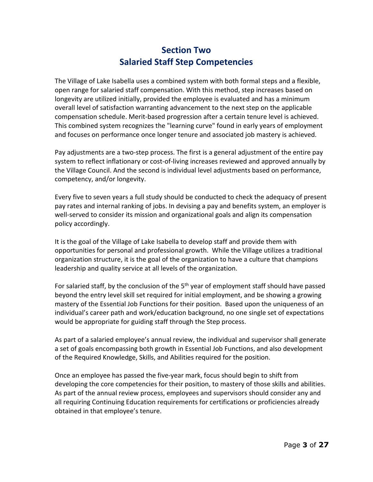## **Section Two Salaried Staff Step Competencies**

The Village of Lake Isabella uses a combined system with both formal steps and a flexible, open range for salaried staff compensation. With this method, step increases based on longevity are utilized initially, provided the employee is evaluated and has a minimum overall level of satisfaction warranting advancement to the next step on the applicable compensation schedule. Merit-based progression after a certain tenure level is achieved. This combined system recognizes the "learning curve" found in early years of employment and focuses on performance once longer tenure and associated job mastery is achieved.

Pay adjustments are a two-step process. The first is a general adjustment of the entire pay system to reflect inflationary or cost-of-living increases reviewed and approved annually by the Village Council. And the second is individual level adjustments based on performance, competency, and/or longevity.

Every five to seven years a full study should be conducted to check the adequacy of present pay rates and internal ranking of jobs. In devising a pay and benefits system, an employer is well-served to consider its mission and organizational goals and align its compensation policy accordingly.

It is the goal of the Village of Lake Isabella to develop staff and provide them with opportunities for personal and professional growth. While the Village utilizes a traditional organization structure, it is the goal of the organization to have a culture that champions leadership and quality service at all levels of the organization.

For salaried staff, by the conclusion of the  $5<sup>th</sup>$  year of employment staff should have passed beyond the entry level skill set required for initial employment, and be showing a growing mastery of the Essential Job Functions for their position. Based upon the uniqueness of an individual's career path and work/education background, no one single set of expectations would be appropriate for guiding staff through the Step process.

As part of a salaried employee's annual review, the individual and supervisor shall generate a set of goals encompassing both growth in Essential Job Functions, and also development of the Required Knowledge, Skills, and Abilities required for the position.

Once an employee has passed the five-year mark, focus should begin to shift from developing the core competencies for their position, to mastery of those skills and abilities. As part of the annual review process, employees and supervisors should consider any and all requiring Continuing Education requirements for certifications or proficiencies already obtained in that employee's tenure.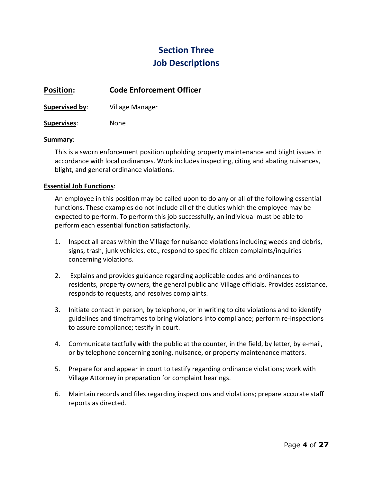## **Section Three Job Descriptions**

## **Position: Code Enforcement Officer**

**Supervised by**: Village Manager

#### **Supervises**: None

#### **Summary**:

This is a sworn enforcement position upholding property maintenance and blight issues in accordance with local ordinances. Work includes inspecting, citing and abating nuisances, blight, and general ordinance violations.

#### **Essential Job Functions**:

An employee in this position may be called upon to do any or all of the following essential functions. These examples do not include all of the duties which the employee may be expected to perform. To perform this job successfully, an individual must be able to perform each essential function satisfactorily.

- 1. Inspect all areas within the Village for nuisance violations including weeds and debris, signs, trash, junk vehicles, etc.; respond to specific citizen complaints/inquiries concerning violations.
- 2. Explains and provides guidance regarding applicable codes and ordinances to residents, property owners, the general public and Village officials. Provides assistance, responds to requests, and resolves complaints.
- 3. Initiate contact in person, by telephone, or in writing to cite violations and to identify guidelines and timeframes to bring violations into compliance; perform re-inspections to assure compliance; testify in court.
- 4. Communicate tactfully with the public at the counter, in the field, by letter, by e-mail, or by telephone concerning zoning, nuisance, or property maintenance matters.
- 5. Prepare for and appear in court to testify regarding ordinance violations; work with Village Attorney in preparation for complaint hearings.
- 6. Maintain records and files regarding inspections and violations; prepare accurate staff reports as directed.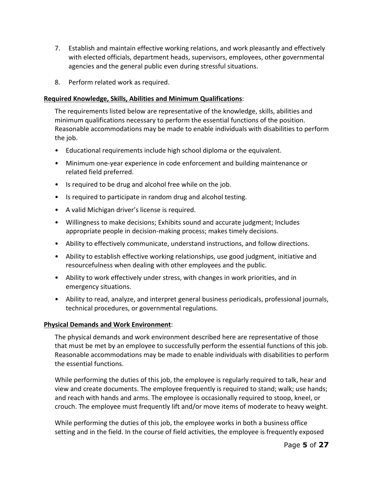- 7. Establish and maintain effective working relations, and work pleasantly and effectively with elected officials, department heads, supervisors, employees, other governmental agencies and the general public even during stressful situations.
- 8. Perform related work as required.

The requirements listed below are representative of the knowledge, skills, abilities and minimum qualifications necessary to perform the essential functions of the position. Reasonable accommodations may be made to enable individuals with disabilities to perform the job.

- Educational requirements include high school diploma or the equivalent.
- Minimum one-year experience in code enforcement and building maintenance or related field preferred.
- Is required to be drug and alcohol free while on the job.
- Is required to participate in random drug and alcohol testing.
- A valid Michigan driver's license is required.
- Willingness to make decisions; Exhibits sound and accurate judgment; Includes appropriate people in decision-making process; makes timely decisions.
- Ability to effectively communicate, understand instructions, and follow directions.
- Ability to establish effective working relationships, use good judgment, initiative and resourcefulness when dealing with other employees and the public.
- Ability to work effectively under stress, with changes in work priorities, and in emergency situations.
- Ability to read, analyze, and interpret general business periodicals, professional journals, technical procedures, or governmental regulations.

### **Physical Demands and Work Environment**:

The physical demands and work environment described here are representative of those that must be met by an employee to successfully perform the essential functions of this job. Reasonable accommodations may be made to enable individuals with disabilities to perform the essential functions.

While performing the duties of this job, the employee is regularly required to talk, hear and view and create documents. The employee frequently is required to stand; walk; use hands; and reach with hands and arms. The employee is occasionally required to stoop, kneel, or crouch. The employee must frequently lift and/or move items of moderate to heavy weight.

While performing the duties of this job, the employee works in both a business office setting and in the field. In the course of field activities, the employee is frequently exposed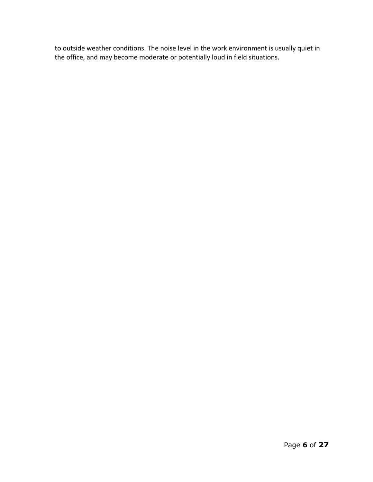to outside weather conditions. The noise level in the work environment is usually quiet in the office, and may become moderate or potentially loud in field situations.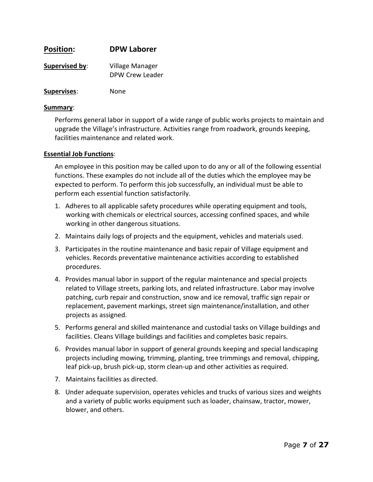| <b>Position:</b>   | <b>DPW Laborer</b>                 |
|--------------------|------------------------------------|
| Supervised by:     | Village Manager<br>DPW Crew Leader |
| <b>Supervises:</b> | None                               |

#### **Summary**:

Performs general labor in support of a wide range of public works projects to maintain and upgrade the Village's infrastructure. Activities range from roadwork, grounds keeping, facilities maintenance and related work.

#### **Essential Job Functions**:

An employee in this position may be called upon to do any or all of the following essential functions. These examples do not include all of the duties which the employee may be expected to perform. To perform this job successfully, an individual must be able to perform each essential function satisfactorily.

- 1. Adheres to all applicable safety procedures while operating equipment and tools, working with chemicals or electrical sources, accessing confined spaces, and while working in other dangerous situations.
- 2. Maintains daily logs of projects and the equipment, vehicles and materials used.
- 3. Participates in the routine maintenance and basic repair of Village equipment and vehicles. Records preventative maintenance activities according to established procedures.
- 4. Provides manual labor in support of the regular maintenance and special projects related to Village streets, parking lots, and related infrastructure. Labor may involve patching, curb repair and construction, snow and ice removal, traffic sign repair or replacement, pavement markings, street sign maintenance/installation, and other projects as assigned.
- 5. Performs general and skilled maintenance and custodial tasks on Village buildings and facilities. Cleans Village buildings and facilities and completes basic repairs.
- 6. Provides manual labor in support of general grounds keeping and special landscaping projects including mowing, trimming, planting, tree trimmings and removal, chipping, leaf pick-up, brush pick-up, storm clean-up and other activities as required.
- 7. Maintains facilities as directed.
- 8. Under adequate supervision, operates vehicles and trucks of various sizes and weights and a variety of public works equipment such as loader, chainsaw, tractor, mower, blower, and others.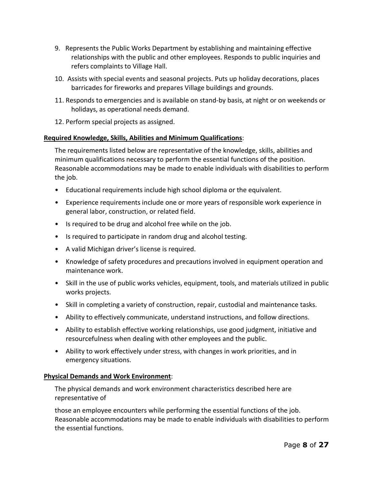- 9. Represents the Public Works Department by establishing and maintaining effective relationships with the public and other employees. Responds to public inquiries and refers complaints to Village Hall.
- 10. Assists with special events and seasonal projects. Puts up holiday decorations, places barricades for fireworks and prepares Village buildings and grounds.
- 11. Responds to emergencies and is available on stand-by basis, at night or on weekends or holidays, as operational needs demand.
- 12. Perform special projects as assigned.

The requirements listed below are representative of the knowledge, skills, abilities and minimum qualifications necessary to perform the essential functions of the position. Reasonable accommodations may be made to enable individuals with disabilities to perform the job.

- Educational requirements include high school diploma or the equivalent.
- Experience requirements include one or more years of responsible work experience in general labor, construction, or related field.
- Is required to be drug and alcohol free while on the job.
- Is required to participate in random drug and alcohol testing.
- A valid Michigan driver's license is required.
- Knowledge of safety procedures and precautions involved in equipment operation and maintenance work.
- Skill in the use of public works vehicles, equipment, tools, and materials utilized in public works projects.
- Skill in completing a variety of construction, repair, custodial and maintenance tasks.
- Ability to effectively communicate, understand instructions, and follow directions.
- Ability to establish effective working relationships, use good judgment, initiative and resourcefulness when dealing with other employees and the public.
- Ability to work effectively under stress, with changes in work priorities, and in emergency situations.

#### **Physical Demands and Work Environment**:

The physical demands and work environment characteristics described here are representative of

those an employee encounters while performing the essential functions of the job. Reasonable accommodations may be made to enable individuals with disabilities to perform the essential functions.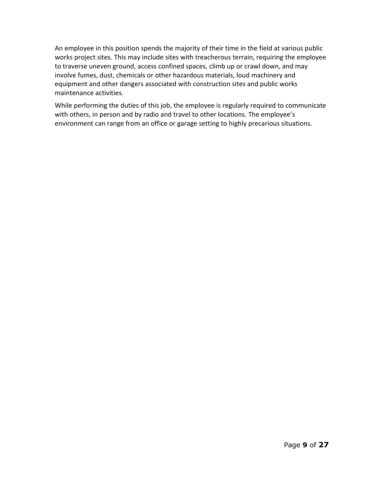An employee in this position spends the majority of their time in the field at various public works project sites. This may include sites with treacherous terrain, requiring the employee to traverse uneven ground, access confined spaces, climb up or crawl down, and may involve fumes, dust, chemicals or other hazardous materials, loud machinery and equipment and other dangers associated with construction sites and public works maintenance activities.

While performing the duties of this job, the employee is regularly required to communicate with others, in person and by radio and travel to other locations. The employee's environment can range from an office or garage setting to highly precarious situations.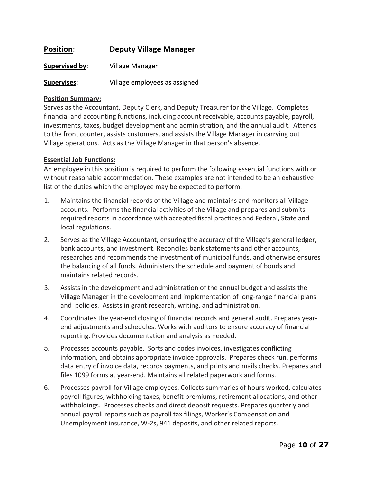### **Position**: **Deputy Village Manager**

**Supervised by**: Village Manager

**Supervises**: Village employees as assigned

#### **Position Summary:**

Serves as the Accountant, Deputy Clerk, and Deputy Treasurer for the Village. Completes financial and accounting functions, including account receivable, accounts payable, payroll, investments, taxes, budget development and administration, and the annual audit. Attends to the front counter, assists customers, and assists the Village Manager in carrying out Village operations. Acts as the Village Manager in that person's absence.

#### **Essential Job Functions:**

An employee in this position is required to perform the following essential functions with or without reasonable accommodation. These examples are not intended to be an exhaustive list of the duties which the employee may be expected to perform.

- 1. Maintains the financial records of the Village and maintains and monitors all Village accounts. Performs the financial activities of the Village and prepares and submits required reports in accordance with accepted fiscal practices and Federal, State and local regulations.
- 2. Serves as the Village Accountant, ensuring the accuracy of the Village's general ledger, bank accounts, and investment. Reconciles bank statements and other accounts, researches and recommends the investment of municipal funds, and otherwise ensures the balancing of all funds. Administers the schedule and payment of bonds and maintains related records.
- 3. Assists in the development and administration of the annual budget and assists the Village Manager in the development and implementation of long-range financial plans and policies. Assists in grant research, writing, and administration.
- 4. Coordinates the year-end closing of financial records and general audit. Prepares yearend adjustments and schedules. Works with auditors to ensure accuracy of financial reporting. Provides documentation and analysis as needed.
- 5. Processes accounts payable. Sorts and codes invoices, investigates conflicting information, and obtains appropriate invoice approvals. Prepares check run, performs data entry of invoice data, records payments, and prints and mails checks. Prepares and files 1099 forms at year-end. Maintains all related paperwork and forms.
- 6. Processes payroll for Village employees. Collects summaries of hours worked, calculates payroll figures, withholding taxes, benefit premiums, retirement allocations, and other withholdings. Processes checks and direct deposit requests. Prepares quarterly and annual payroll reports such as payroll tax filings, Worker's Compensation and Unemployment insurance, W-2s, 941 deposits, and other related reports.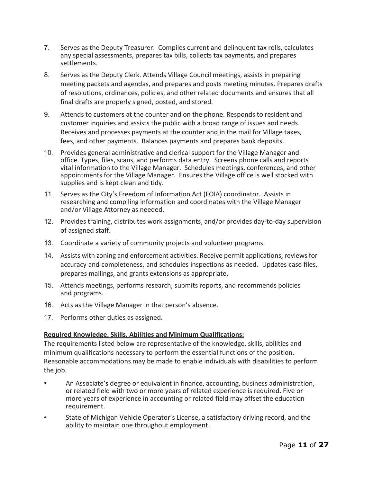- 7. Serves as the Deputy Treasurer. Compiles current and delinquent tax rolls, calculates any special assessments, prepares tax bills, collects tax payments, and prepares settlements.
- 8. Serves as the Deputy Clerk. Attends Village Council meetings, assists in preparing meeting packets and agendas, and prepares and posts meeting minutes. Prepares drafts of resolutions, ordinances, policies, and other related documents and ensures that all final drafts are properly signed, posted, and stored.
- 9. Attends to customers at the counter and on the phone. Responds to resident and customer inquiries and assists the public with a broad range of issues and needs. Receives and processes payments at the counter and in the mail for Village taxes, fees, and other payments. Balances payments and prepares bank deposits.
- 10. Provides general administrative and clerical support for the Village Manager and office. Types, files, scans, and performs data entry. Screens phone calls and reports vital information to the Village Manager. Schedules meetings, conferences, and other appointments for the Village Manager. Ensures the Village office is well stocked with supplies and is kept clean and tidy.
- 11. Serves as the City's Freedom of Information Act (FOIA) coordinator. Assists in researching and compiling information and coordinates with the Village Manager and/or Village Attorney as needed.
- 12. Provides training, distributes work assignments, and/or provides day-to-day supervision of assigned staff.
- 13. Coordinate a variety of community projects and volunteer programs.
- 14. Assists with zoning and enforcement activities. Receive permit applications, reviews for accuracy and completeness, and schedules inspections as needed. Updates case files, prepares mailings, and grants extensions as appropriate.
- 15. Attends meetings, performs research, submits reports, and recommends policies and programs.
- 16. Acts as the Village Manager in that person's absence.
- 17. Performs other duties as assigned.

The requirements listed below are representative of the knowledge, skills, abilities and minimum qualifications necessary to perform the essential functions of the position. Reasonable accommodations may be made to enable individuals with disabilities to perform the job.

- An Associate's degree or equivalent in finance, accounting, business administration, or related field with two or more years of related experience is required. Five or more years of experience in accounting or related field may offset the education requirement.
- State of Michigan Vehicle Operator's License, a satisfactory driving record, and the ability to maintain one throughout employment.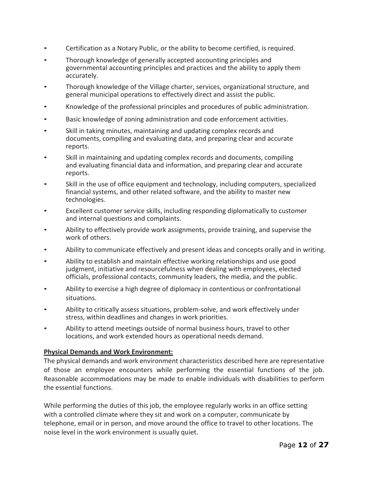- Certification as a Notary Public, or the ability to become certified, is required.
- Thorough knowledge of generally accepted accounting principles and governmental accounting principles and practices and the ability to apply them accurately.
- Thorough knowledge of the Village charter, services, organizational structure, and general municipal operations to effectively direct and assist the public.
- Knowledge of the professional principles and procedures of public administration.
- Basic knowledge of zoning administration and code enforcement activities.
- Skill in taking minutes, maintaining and updating complex records and documents, compiling and evaluating data, and preparing clear and accurate reports.
- Skill in maintaining and updating complex records and documents, compiling and evaluating financial data and information, and preparing clear and accurate reports.
- Skill in the use of office equipment and technology, including computers, specialized financial systems, and other related software, and the ability to master new technologies.
- Excellent customer service skills, including responding diplomatically to customer and internal questions and complaints.
- Ability to effectively provide work assignments, provide training, and supervise the work of others.
- Ability to communicate effectively and present ideas and concepts orally and in writing.
- Ability to establish and maintain effective working relationships and use good judgment, initiative and resourcefulness when dealing with employees, elected officials, professional contacts, community leaders, the media, and the public.
- Ability to exercise a high degree of diplomacy in contentious or confrontational situations.
- Ability to critically assess situations, problem-solve, and work effectively under stress, within deadlines and changes in work priorities.
- Ability to attend meetings outside of normal business hours, travel to other locations, and work extended hours as operational needs demand.

#### **Physical Demands and Work Environment:**

The physical demands and work environment characteristics described here are representative of those an employee encounters while performing the essential functions of the job. Reasonable accommodations may be made to enable individuals with disabilities to perform the essential functions.

While performing the duties of this job, the employee regularly works in an office setting with a controlled climate where they sit and work on a computer, communicate by telephone, email or in person, and move around the office to travel to other locations. The noise level in the work environment is usually quiet.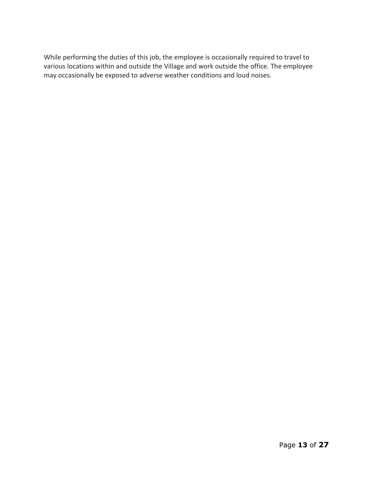While performing the duties of this job, the employee is occasionally required to travel to various locations within and outside the Village and work outside the office. The employee may occasionally be exposed to adverse weather conditions and loud noises.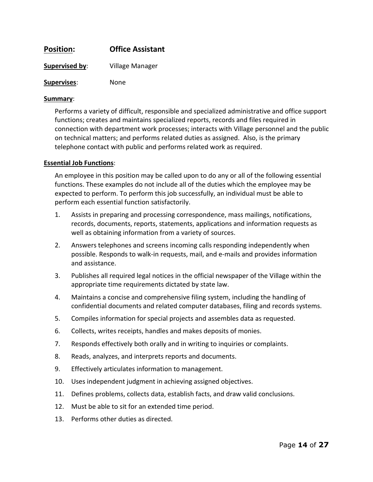| <b>Position:</b> | <b>Office Assistant</b> |
|------------------|-------------------------|
| Supervised by:   | Village Manager         |
| Supervises:      | None                    |

#### **Summary**:

Performs a variety of difficult, responsible and specialized administrative and office support functions; creates and maintains specialized reports, records and files required in connection with department work processes; interacts with Village personnel and the public on technical matters; and performs related duties as assigned. Also, is the primary telephone contact with public and performs related work as required.

#### **Essential Job Functions**:

An employee in this position may be called upon to do any or all of the following essential functions. These examples do not include all of the duties which the employee may be expected to perform. To perform this job successfully, an individual must be able to perform each essential function satisfactorily.

- 1. Assists in preparing and processing correspondence, mass mailings, notifications, records, documents, reports, statements, applications and information requests as well as obtaining information from a variety of sources.
- 2. Answers telephones and screens incoming calls responding independently when possible. Responds to walk-in requests, mail, and e-mails and provides information and assistance.
- 3. Publishes all required legal notices in the official newspaper of the Village within the appropriate time requirements dictated by state law.
- 4. Maintains a concise and comprehensive filing system, including the handling of confidential documents and related computer databases, filing and records systems.
- 5. Compiles information for special projects and assembles data as requested.
- 6. Collects, writes receipts, handles and makes deposits of monies.
- 7. Responds effectively both orally and in writing to inquiries or complaints.
- 8. Reads, analyzes, and interprets reports and documents.
- 9. Effectively articulates information to management.
- 10. Uses independent judgment in achieving assigned objectives.
- 11. Defines problems, collects data, establish facts, and draw valid conclusions.
- 12. Must be able to sit for an extended time period.
- 13. Performs other duties as directed.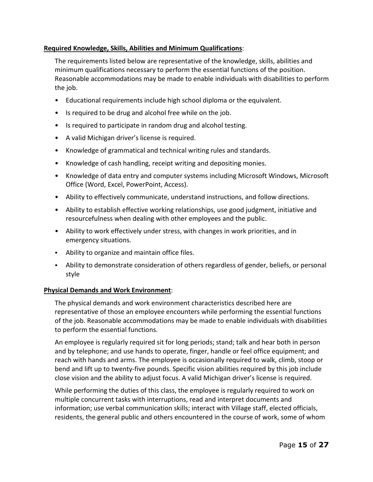The requirements listed below are representative of the knowledge, skills, abilities and minimum qualifications necessary to perform the essential functions of the position. Reasonable accommodations may be made to enable individuals with disabilities to perform the job.

- Educational requirements include high school diploma or the equivalent.
- Is required to be drug and alcohol free while on the job.
- Is required to participate in random drug and alcohol testing.
- A valid Michigan driver's license is required.
- Knowledge of grammatical and technical writing rules and standards.
- Knowledge of cash handling, receipt writing and depositing monies.
- Knowledge of data entry and computer systems including Microsoft Windows, Microsoft Office (Word, Excel, PowerPoint, Access).
- Ability to effectively communicate, understand instructions, and follow directions.
- Ability to establish effective working relationships, use good judgment, initiative and resourcefulness when dealing with other employees and the public.
- Ability to work effectively under stress, with changes in work priorities, and in emergency situations.
- Ability to organize and maintain office files.
- Ability to demonstrate consideration of others regardless of gender, beliefs, or personal style

### **Physical Demands and Work Environment**:

The physical demands and work environment characteristics described here are representative of those an employee encounters while performing the essential functions of the job. Reasonable accommodations may be made to enable individuals with disabilities to perform the essential functions.

An employee is regularly required sit for long periods; stand; talk and hear both in person and by telephone; and use hands to operate, finger, handle or feel office equipment; and reach with hands and arms. The employee is occasionally required to walk, climb, stoop or bend and lift up to twenty-five pounds. Specific vision abilities required by this job include close vision and the ability to adjust focus. A valid Michigan driver's license is required.

While performing the duties of this class, the employee is regularly required to work on multiple concurrent tasks with interruptions, read and interpret documents and information; use verbal communication skills; interact with Village staff, elected officials, residents, the general public and others encountered in the course of work, some of whom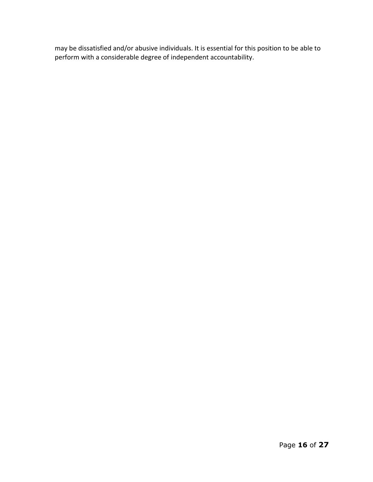may be dissatisfied and/or abusive individuals. It is essential for this position to be able to perform with a considerable degree of independent accountability.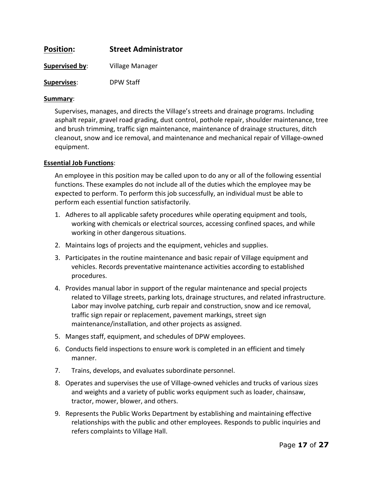| <b>Position:</b>   | <b>Street Administrator</b> |
|--------------------|-----------------------------|
| Supervised by:     | Village Manager             |
| <b>Supervises:</b> | <b>DPW Staff</b>            |

#### **Summary**:

Supervises, manages, and directs the Village's streets and drainage programs. Including asphalt repair, gravel road grading, dust control, pothole repair, shoulder maintenance, tree and brush trimming, traffic sign maintenance, maintenance of drainage structures, ditch cleanout, snow and ice removal, and maintenance and mechanical repair of Village-owned equipment.

#### **Essential Job Functions**:

An employee in this position may be called upon to do any or all of the following essential functions. These examples do not include all of the duties which the employee may be expected to perform. To perform this job successfully, an individual must be able to perform each essential function satisfactorily.

- 1. Adheres to all applicable safety procedures while operating equipment and tools, working with chemicals or electrical sources, accessing confined spaces, and while working in other dangerous situations.
- 2. Maintains logs of projects and the equipment, vehicles and supplies.
- 3. Participates in the routine maintenance and basic repair of Village equipment and vehicles. Records preventative maintenance activities according to established procedures.
- 4. Provides manual labor in support of the regular maintenance and special projects related to Village streets, parking lots, drainage structures, and related infrastructure. Labor may involve patching, curb repair and construction, snow and ice removal, traffic sign repair or replacement, pavement markings, street sign maintenance/installation, and other projects as assigned.
- 5. Manges staff, equipment, and schedules of DPW employees.
- 6. Conducts field inspections to ensure work is completed in an efficient and timely manner.
- 7. Trains, develops, and evaluates subordinate personnel.
- 8. Operates and supervises the use of Village-owned vehicles and trucks of various sizes and weights and a variety of public works equipment such as loader, chainsaw, tractor, mower, blower, and others.
- 9. Represents the Public Works Department by establishing and maintaining effective relationships with the public and other employees. Responds to public inquiries and refers complaints to Village Hall.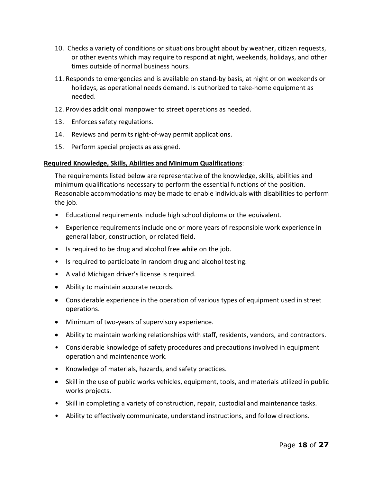- 10. Checks a variety of conditions or situations brought about by weather, citizen requests, or other events which may require to respond at night, weekends, holidays, and other times outside of normal business hours.
- 11. Responds to emergencies and is available on stand-by basis, at night or on weekends or holidays, as operational needs demand. Is authorized to take-home equipment as needed.
- 12. Provides additional manpower to street operations as needed.
- 13. Enforces safety regulations.
- 14. Reviews and permits right-of-way permit applications.
- 15. Perform special projects as assigned.

The requirements listed below are representative of the knowledge, skills, abilities and minimum qualifications necessary to perform the essential functions of the position. Reasonable accommodations may be made to enable individuals with disabilities to perform the job.

- Educational requirements include high school diploma or the equivalent.
- Experience requirements include one or more years of responsible work experience in general labor, construction, or related field.
- Is required to be drug and alcohol free while on the job.
- Is required to participate in random drug and alcohol testing.
- A valid Michigan driver's license is required.
- Ability to maintain accurate records.
- Considerable experience in the operation of various types of equipment used in street operations.
- Minimum of two-years of supervisory experience.
- Ability to maintain working relationships with staff, residents, vendors, and contractors.
- Considerable knowledge of safety procedures and precautions involved in equipment operation and maintenance work.
- Knowledge of materials, hazards, and safety practices.
- Skill in the use of public works vehicles, equipment, tools, and materials utilized in public works projects.
- Skill in completing a variety of construction, repair, custodial and maintenance tasks.
- Ability to effectively communicate, understand instructions, and follow directions.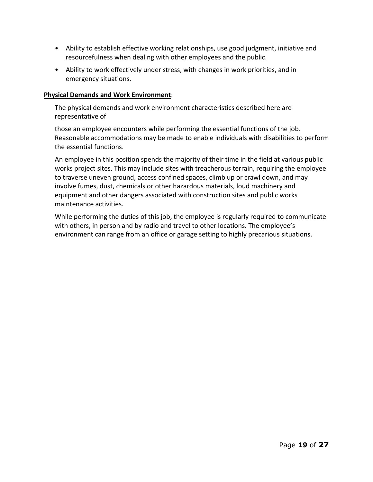- Ability to establish effective working relationships, use good judgment, initiative and resourcefulness when dealing with other employees and the public.
- Ability to work effectively under stress, with changes in work priorities, and in emergency situations.

#### **Physical Demands and Work Environment**:

The physical demands and work environment characteristics described here are representative of

those an employee encounters while performing the essential functions of the job. Reasonable accommodations may be made to enable individuals with disabilities to perform the essential functions.

An employee in this position spends the majority of their time in the field at various public works project sites. This may include sites with treacherous terrain, requiring the employee to traverse uneven ground, access confined spaces, climb up or crawl down, and may involve fumes, dust, chemicals or other hazardous materials, loud machinery and equipment and other dangers associated with construction sites and public works maintenance activities.

While performing the duties of this job, the employee is regularly required to communicate with others, in person and by radio and travel to other locations. The employee's environment can range from an office or garage setting to highly precarious situations.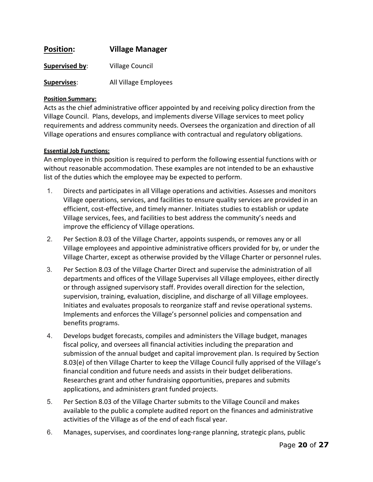| <b>Position:</b> | <b>Village Manager</b> |
|------------------|------------------------|
| Supervised by:   | <b>Village Council</b> |
| Supervises:      | All Village Employees  |

#### **Position Summary:**

Acts as the chief administrative officer appointed by and receiving policy direction from the Village Council. Plans, develops, and implements diverse Village services to meet policy requirements and address community needs. Oversees the organization and direction of all Village operations and ensures compliance with contractual and regulatory obligations.

#### **Essential Job Functions:**

An employee in this position is required to perform the following essential functions with or without reasonable accommodation. These examples are not intended to be an exhaustive list of the duties which the employee may be expected to perform.

- 1. Directs and participates in all Village operations and activities. Assesses and monitors Village operations, services, and facilities to ensure quality services are provided in an efficient, cost-effective, and timely manner. Initiates studies to establish or update Village services, fees, and facilities to best address the community's needs and improve the efficiency of Village operations.
- 2. Per Section 8.03 of the Village Charter, appoints suspends, or removes any or all Village employees and appointive administrative officers provided for by, or under the Village Charter, except as otherwise provided by the Village Charter or personnel rules.
- 3. Per Section 8.03 of the Village Charter Direct and supervise the administration of all departments and offices of the Village Supervises all Village employees, either directly or through assigned supervisory staff. Provides overall direction for the selection, supervision, training, evaluation, discipline, and discharge of all Village employees. Initiates and evaluates proposals to reorganize staff and revise operational systems. Implements and enforces the Village's personnel policies and compensation and benefits programs.
- 4. Develops budget forecasts, compiles and administers the Village budget, manages fiscal policy, and oversees all financial activities including the preparation and submission of the annual budget and capital improvement plan. Is required by Section 8.03(e) of then Village Charter to keep the Village Council fully apprised of the Village's financial condition and future needs and assists in their budget deliberations. Researches grant and other fundraising opportunities, prepares and submits applications, and administers grant funded projects.
- 5. Per Section 8.03 of the Village Charter submits to the Village Council and makes available to the public a complete audited report on the finances and administrative activities of the Village as of the end of each fiscal year.
- 6. Manages, supervises, and coordinates long-range planning, strategic plans, public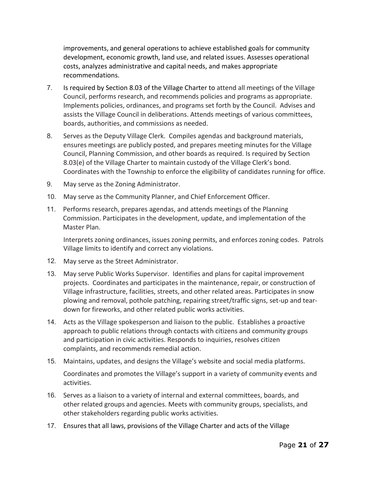improvements, and general operations to achieve established goals for community development, economic growth, land use, and related issues. Assesses operational costs, analyzes administrative and capital needs, and makes appropriate recommendations.

- 7. Is required by Section 8.03 of the Village Charter to attend all meetings of the Village Council, performs research, and recommends policies and programs as appropriate. Implements policies, ordinances, and programs set forth by the Council. Advises and assists the Village Council in deliberations. Attends meetings of various committees, boards, authorities, and commissions as needed.
- 8. Serves as the Deputy Village Clerk. Compiles agendas and background materials, ensures meetings are publicly posted, and prepares meeting minutes for the Village Council, Planning Commission, and other boards as required. Is required by Section 8.03(e) of the Village Charter to maintain custody of the Village Clerk's bond. Coordinates with the Township to enforce the eligibility of candidates running for office.
- 9. May serve as the Zoning Administrator.
- 10. May serve as the Community Planner, and Chief Enforcement Officer.
- 11. Performs research, prepares agendas, and attends meetings of the Planning Commission. Participates in the development, update, and implementation of the Master Plan.

Interprets zoning ordinances, issues zoning permits, and enforces zoning codes. Patrols Village limits to identify and correct any violations.

- 12. May serve as the Street Administrator.
- 13. May serve Public Works Supervisor. Identifies and plans for capital improvement projects. Coordinates and participates in the maintenance, repair, or construction of Village infrastructure, facilities, streets, and other related areas. Participates in snow plowing and removal, pothole patching, repairing street/traffic signs, set-up and teardown for fireworks, and other related public works activities.
- 14. Acts as the Village spokesperson and liaison to the public. Establishes a proactive approach to public relations through contacts with citizens and community groups and participation in civic activities. Responds to inquiries, resolves citizen complaints, and recommends remedial action.
- 15. Maintains, updates, and designs the Village's website and social media platforms. Coordinates and promotes the Village's support in a variety of community events and activities.
- 16. Serves as a liaison to a variety of internal and external committees, boards, and other related groups and agencies. Meets with community groups, specialists, and other stakeholders regarding public works activities.
- 17. Ensures that all laws, provisions of the Village Charter and acts of the Village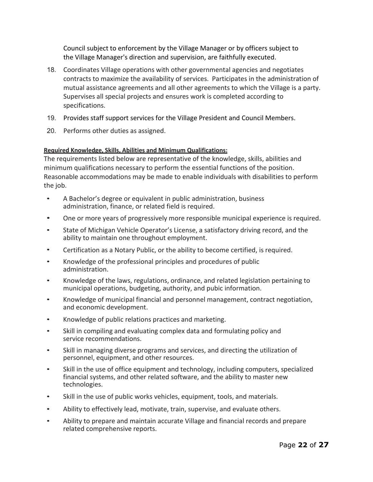Council subject to enforcement by the Village Manager or by officers subject to the Village Manager's direction and supervision, are faithfully executed.

- 18. Coordinates Village operations with other governmental agencies and negotiates contracts to maximize the availability of services. Participates in the administration of mutual assistance agreements and all other agreements to which the Village is a party. Supervises all special projects and ensures work is completed according to specifications.
- 19. Provides staff support services for the Village President and Council Members.
- 20. Performs other duties as assigned.

#### **Required Knowledge, Skills, Abilities and Minimum Qualifications:**

The requirements listed below are representative of the knowledge, skills, abilities and minimum qualifications necessary to perform the essential functions of the position. Reasonable accommodations may be made to enable individuals with disabilities to perform the job.

- A Bachelor's degree or equivalent in public administration, business administration, finance, or related field is required.
- One or more years of progressively more responsible municipal experience is required.
- State of Michigan Vehicle Operator's License, a satisfactory driving record, and the ability to maintain one throughout employment.
- Certification as a Notary Public, or the ability to become certified, is required.
- Knowledge of the professional principles and procedures of public administration.
- Knowledge of the laws, regulations, ordinance, and related legislation pertaining to municipal operations, budgeting, authority, and pubic information.
- Knowledge of municipal financial and personnel management, contract negotiation, and economic development.
- Knowledge of public relations practices and marketing.
- Skill in compiling and evaluating complex data and formulating policy and service recommendations.
- Skill in managing diverse programs and services, and directing the utilization of personnel, equipment, and other resources.
- Skill in the use of office equipment and technology, including computers, specialized financial systems, and other related software, and the ability to master new technologies.
- Skill in the use of public works vehicles, equipment, tools, and materials.
- Ability to effectively lead, motivate, train, supervise, and evaluate others.
- Ability to prepare and maintain accurate Village and financial records and prepare related comprehensive reports.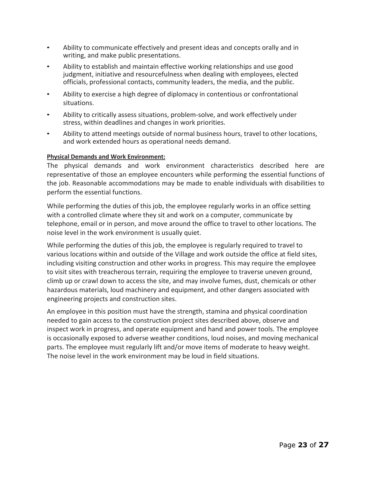- Ability to communicate effectively and present ideas and concepts orally and in writing, and make public presentations.
- Ability to establish and maintain effective working relationships and use good judgment, initiative and resourcefulness when dealing with employees, elected officials, professional contacts, community leaders, the media, and the public.
- Ability to exercise a high degree of diplomacy in contentious or confrontational situations.
- Ability to critically assess situations, problem-solve, and work effectively under stress, within deadlines and changes in work priorities.
- Ability to attend meetings outside of normal business hours, travel to other locations, and work extended hours as operational needs demand.

#### **Physical Demands and Work Environment:**

The physical demands and work environment characteristics described here are representative of those an employee encounters while performing the essential functions of the job. Reasonable accommodations may be made to enable individuals with disabilities to perform the essential functions.

While performing the duties of this job, the employee regularly works in an office setting with a controlled climate where they sit and work on a computer, communicate by telephone, email or in person, and move around the office to travel to other locations. The noise level in the work environment is usually quiet.

While performing the duties of this job, the employee is regularly required to travel to various locations within and outside of the Village and work outside the office at field sites, including visiting construction and other works in progress. This may require the employee to visit sites with treacherous terrain, requiring the employee to traverse uneven ground, climb up or crawl down to access the site, and may involve fumes, dust, chemicals or other hazardous materials, loud machinery and equipment, and other dangers associated with engineering projects and construction sites.

An employee in this position must have the strength, stamina and physical coordination needed to gain access to the construction project sites described above, observe and inspect work in progress, and operate equipment and hand and power tools. The employee is occasionally exposed to adverse weather conditions, loud noises, and moving mechanical parts. The employee must regularly lift and/or move items of moderate to heavy weight. The noise level in the work environment may be loud in field situations.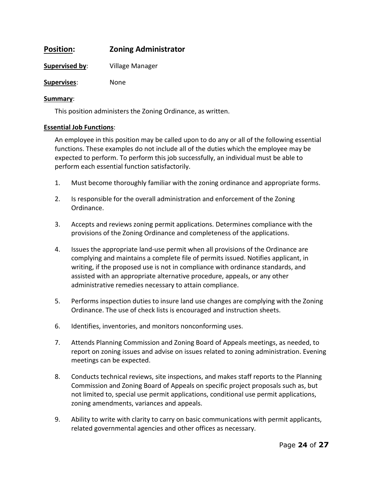### **Position: Zoning Administrator**

**Supervised by**: Village Manager

**Supervises**: None

#### **Summary**:

This position administers the Zoning Ordinance, as written.

#### **Essential Job Functions**:

An employee in this position may be called upon to do any or all of the following essential functions. These examples do not include all of the duties which the employee may be expected to perform. To perform this job successfully, an individual must be able to perform each essential function satisfactorily.

- 1. Must become thoroughly familiar with the zoning ordinance and appropriate forms.
- 2. Is responsible for the overall administration and enforcement of the Zoning Ordinance.
- 3. Accepts and reviews zoning permit applications. Determines compliance with the provisions of the Zoning Ordinance and completeness of the applications.
- 4. Issues the appropriate land-use permit when all provisions of the Ordinance are complying and maintains a complete file of permits issued. Notifies applicant, in writing, if the proposed use is not in compliance with ordinance standards, and assisted with an appropriate alternative procedure, appeals, or any other administrative remedies necessary to attain compliance.
- 5. Performs inspection duties to insure land use changes are complying with the Zoning Ordinance. The use of check lists is encouraged and instruction sheets.
- 6. Identifies, inventories, and monitors nonconforming uses.
- 7. Attends Planning Commission and Zoning Board of Appeals meetings, as needed, to report on zoning issues and advise on issues related to zoning administration. Evening meetings can be expected.
- 8. Conducts technical reviews, site inspections, and makes staff reports to the Planning Commission and Zoning Board of Appeals on specific project proposals such as, but not limited to, special use permit applications, conditional use permit applications, zoning amendments, variances and appeals.
- 9. Ability to write with clarity to carry on basic communications with permit applicants, related governmental agencies and other offices as necessary.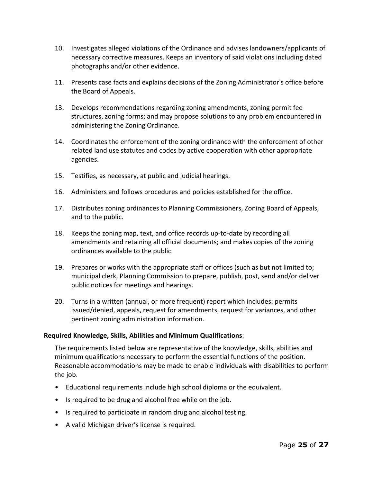- 10. Investigates alleged violations of the Ordinance and advises landowners/applicants of necessary corrective measures. Keeps an inventory of said violations including dated photographs and/or other evidence.
- 11. Presents case facts and explains decisions of the Zoning Administrator's office before the Board of Appeals.
- 13. Develops recommendations regarding zoning amendments, zoning permit fee structures, zoning forms; and may propose solutions to any problem encountered in administering the Zoning Ordinance.
- 14. Coordinates the enforcement of the zoning ordinance with the enforcement of other related land use statutes and codes by active cooperation with other appropriate agencies.
- 15. Testifies, as necessary, at public and judicial hearings.
- 16. Administers and follows procedures and policies established for the office.
- 17. Distributes zoning ordinances to Planning Commissioners, Zoning Board of Appeals, and to the public.
- 18. Keeps the zoning map, text, and office records up-to-date by recording all amendments and retaining all official documents; and makes copies of the zoning ordinances available to the public.
- 19. Prepares or works with the appropriate staff or offices (such as but not limited to; municipal clerk, Planning Commission to prepare, publish, post, send and/or deliver public notices for meetings and hearings.
- 20. Turns in a written (annual, or more frequent) report which includes: permits issued/denied, appeals, request for amendments, request for variances, and other pertinent zoning administration information.

The requirements listed below are representative of the knowledge, skills, abilities and minimum qualifications necessary to perform the essential functions of the position. Reasonable accommodations may be made to enable individuals with disabilities to perform the job.

- Educational requirements include high school diploma or the equivalent.
- Is required to be drug and alcohol free while on the job.
- Is required to participate in random drug and alcohol testing.
- A valid Michigan driver's license is required.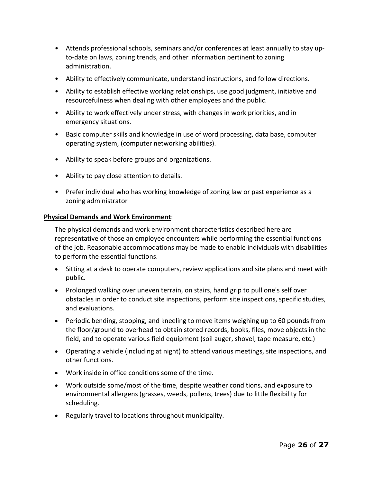- Attends professional schools, seminars and/or conferences at least annually to stay upto-date on laws, zoning trends, and other information pertinent to zoning administration.
- Ability to effectively communicate, understand instructions, and follow directions.
- Ability to establish effective working relationships, use good judgment, initiative and resourcefulness when dealing with other employees and the public.
- Ability to work effectively under stress, with changes in work priorities, and in emergency situations.
- Basic computer skills and knowledge in use of word processing, data base, computer operating system, (computer networking abilities).
- Ability to speak before groups and organizations.
- Ability to pay close attention to details.
- Prefer individual who has working knowledge of zoning law or past experience as a zoning administrator

#### **Physical Demands and Work Environment**:

The physical demands and work environment characteristics described here are representative of those an employee encounters while performing the essential functions of the job. Reasonable accommodations may be made to enable individuals with disabilities to perform the essential functions.

- Sitting at a desk to operate computers, review applications and site plans and meet with public.
- Prolonged walking over uneven terrain, on stairs, hand grip to pull one's self over obstacles in order to conduct site inspections, perform site inspections, specific studies, and evaluations.
- Periodic bending, stooping, and kneeling to move items weighing up to 60 pounds from the floor/ground to overhead to obtain stored records, books, files, move objects in the field, and to operate various field equipment (soil auger, shovel, tape measure, etc.)
- Operating a vehicle (including at night) to attend various meetings, site inspections, and other functions.
- Work inside in office conditions some of the time.
- Work outside some/most of the time, despite weather conditions, and exposure to environmental allergens (grasses, weeds, pollens, trees) due to little flexibility for scheduling.
- Regularly travel to locations throughout municipality.